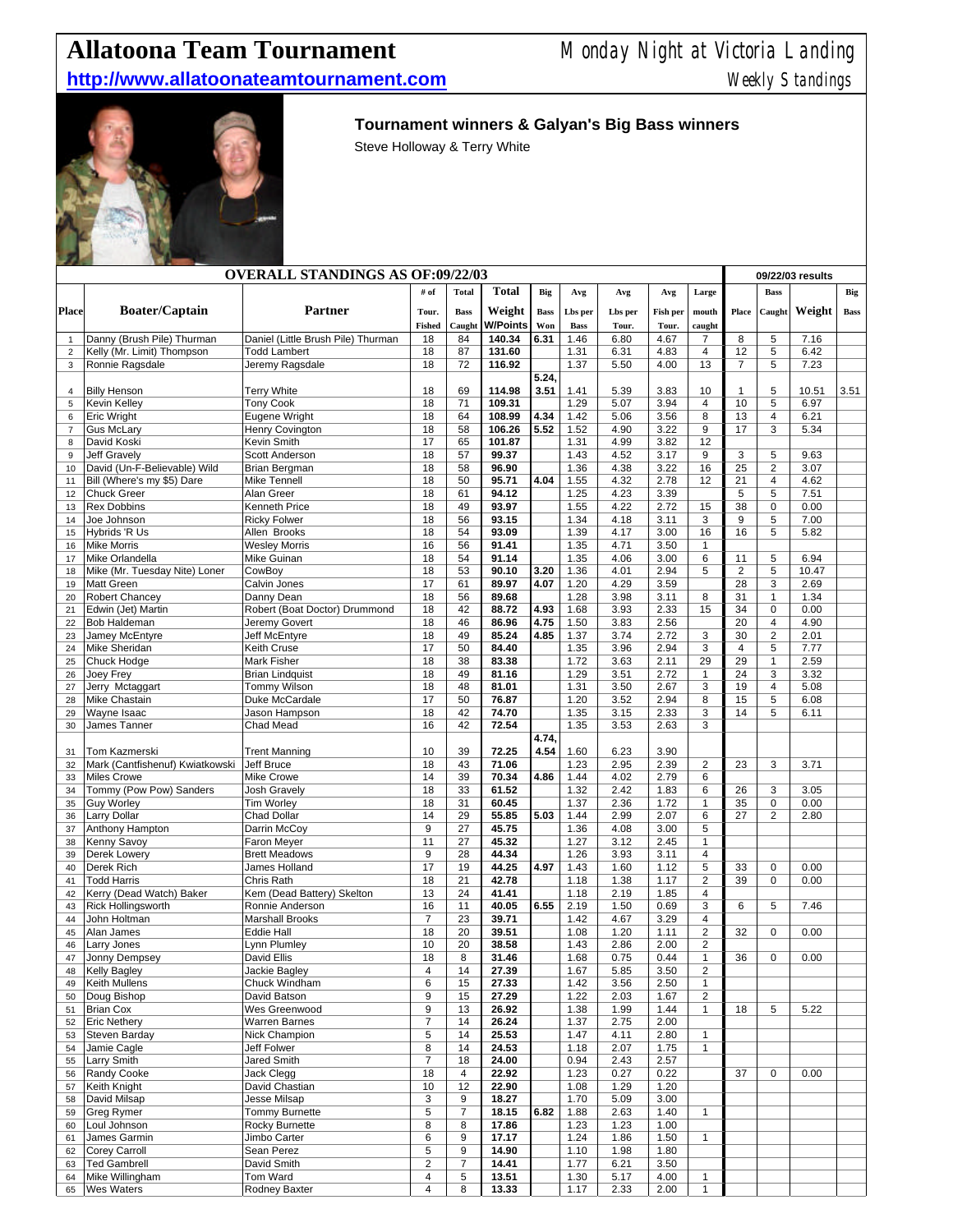## **Allatoona Team Tournament** Monday Night at Victoria Landing

## **http://www.allatoonateamtournament.com** Weekly Standings



## **Tournament winners & Galyan's Big Bass winners**

Steve Holloway & Terry White

|                | <b>OVERALL STANDINGS AS OF:09/22/03</b>          |                                              |                  |                |                 |               |              |              |              |                                  |                      | 09/22/03 results                          |               |             |  |
|----------------|--------------------------------------------------|----------------------------------------------|------------------|----------------|-----------------|---------------|--------------|--------------|--------------|----------------------------------|----------------------|-------------------------------------------|---------------|-------------|--|
|                |                                                  |                                              | # of             | Total          | <b>Total</b>    | Big           | Avg          | Avg          | Avg          | Large                            |                      | <b>Bass</b>                               |               | Big         |  |
| <b>Place</b>   | <b>Boater/Captain</b>                            | Partner                                      | Tour.            | <b>Bass</b>    | Weight          | <b>Bass</b>   | Lbs per      | Lbs per      | Fish per     | mouth                            | Place                | Caught                                    | Weight        | <b>Bass</b> |  |
|                |                                                  |                                              | Fished           | Caught         | <b>W/Points</b> | Won           | <b>Bass</b>  | Tour.        | Tour.        | caught                           |                      |                                           |               |             |  |
| $\mathbf{1}$   | Danny (Brush Pile) Thurman                       | Daniel (Little Brush Pile) Thurman           | 18               | 84             | 140.34          | 6.31          | 1.46         | 6.80         | 4.67         | $\overline{7}$                   | 8                    | 5                                         | 7.16          |             |  |
| $\overline{2}$ | Kelly (Mr. Limit) Thompson                       | <b>Todd Lambert</b>                          | 18               | 87             | 131.60          |               | 1.31         | 6.31         | 4.83         | $\overline{4}$                   | 12                   | 5                                         | 6.42          |             |  |
| 3              | Ronnie Ragsdale                                  | Jeremy Ragsdale                              | 18               | 72             | 116.92          |               | 1.37         | 5.50         | 4.00         | 13                               | $\overline{7}$       | $\overline{5}$                            | 7.23          |             |  |
| $\overline{4}$ | <b>Billy Henson</b>                              | <b>Terry White</b>                           | 18               | 69             | 114.98          | 5.24,<br>3.51 | 1.41         | 5.39         | 3.83         | 10                               | $\mathbf{1}$         | 5                                         | 10.51         | 3.51        |  |
| 5              | Kevin Kelley                                     | <b>Tony Cook</b>                             | 18               | 71             | 109.31          |               | 1.29         | 5.07         | 3.94         | 4                                | 10                   | 5                                         | 6.97          |             |  |
| 6              | <b>Eric Wright</b>                               | Eugene Wright                                | 18               | 64             | 108.99          | 4.34          | 1.42         | 5.06         | 3.56         | 8                                | 13                   | 4                                         | 6.21          |             |  |
| $\overline{7}$ | <b>Gus McLary</b>                                | Henry Covington                              | 18               | 58             | 106.26          | 5.52          | 1.52         | 4.90         | 3.22         | 9                                | 17                   | 3                                         | 5.34          |             |  |
| 8              | David Koski                                      | Kevin Smith                                  | 17               | 65             | 101.87          |               | 1.31         | 4.99         | 3.82         | 12                               |                      |                                           |               |             |  |
| 9              | <b>Jeff Gravelv</b>                              | Scott Anderson                               | 18               | 57             | 99.37           |               | 1.43         | 4.52         | 3.17         | 9                                | 3                    | 5                                         | 9.63          |             |  |
| 10             | David (Un-F-Believable) Wild                     | Brian Bergman                                | 18<br>18         | 58<br>50       | 96.90           | 4.04          | 1.36         | 4.38         | 3.22         | 16<br>12                         | 25<br>21             | $\overline{2}$<br>$\overline{\mathbf{4}}$ | 3.07          |             |  |
| 11<br>12       | Bill (Where's my \$5) Dare<br><b>Chuck Greer</b> | Mike Tennell<br>Alan Greer                   | 18               | 61             | 95.71<br>94.12  |               | 1.55<br>1.25 | 4.32<br>4.23 | 2.78<br>3.39 |                                  | 5                    | 5                                         | 4.62<br>7.51  |             |  |
| 13             | <b>Rex Dobbins</b>                               | Kenneth Price                                | 18               | 49             | 93.97           |               | 1.55         | 4.22         | 2.72         | 15                               | 38                   | $\mathbf 0$                               | 0.00          |             |  |
| 14             | Joe Johnson                                      | <b>Ricky Folwer</b>                          | 18               | 56             | 93.15           |               | 1.34         | 4.18         | 3.11         | 3                                | 9                    | 5                                         | 7.00          |             |  |
| 15             | Hybrids 'R Us                                    | Allen Brooks                                 | 18               | 54             | 93.09           |               | 1.39         | 4.17         | 3.00         | 16                               | 16                   | 5                                         | 5.82          |             |  |
| 16             | <b>Mike Morris</b>                               | <b>Wesley Morris</b>                         | 16               | 56             | 91.41           |               | 1.35         | 4.71         | 3.50         | $\mathbf{1}$                     |                      |                                           |               |             |  |
| 17             | Mike Orlandella                                  | Mike Guinan<br>CowBov                        | 18               | 54<br>53       | 91.14           | 3.20          | 1.35         | 4.06         | 3.00<br>2.94 | 6<br>5                           | 11<br>$\overline{2}$ | 5<br>5                                    | 6.94          |             |  |
| 18<br>19       | Mike (Mr. Tuesday Nite) Loner<br>Matt Green      | Calvin Jones                                 | 18<br>17         | 61             | 90.10<br>89.97  | 4.07          | 1.36<br>1.20 | 4.01<br>4.29 | 3.59         |                                  | 28                   | 3                                         | 10.47<br>2.69 |             |  |
| 20             | <b>Robert Chancey</b>                            | Danny Dean                                   | 18               | 56             | 89.68           |               | 1.28         | 3.98         | 3.11         | 8                                | 31                   | $\mathbf{1}$                              | 1.34          |             |  |
| 21             | Edwin (Jet) Martin                               | Robert (Boat Doctor) Drummond                | 18               | 42             | 88.72           | 4.93          | 1.68         | 3.93         | 2.33         | 15                               | 34                   | $\mathbf 0$                               | 0.00          |             |  |
| 22             | <b>Bob Haldeman</b>                              | Jeremy Govert                                | 18               | 46             | 86.96           | 4.75          | 1.50         | 3.83         | 2.56         |                                  | 20                   | $\overline{4}$                            | 4.90          |             |  |
| 23             | Jamey McEntyre                                   | Jeff McEntyre                                | 18               | 49             | 85.24           | 4.85          | 1.37         | 3.74         | 2.72         | 3                                | 30                   | $\overline{2}$                            | 2.01          |             |  |
| 24             | <b>Mike Sheridan</b>                             | Keith Cruse                                  | 17               | 50             | 84.40           |               | 1.35         | 3.96         | 2.94         | 3                                | $\overline{4}$       | 5                                         | 7.77          |             |  |
| 25<br>26       | Chuck Hodge<br>Joey Frey                         | <b>Mark Fisher</b><br><b>Brian Lindquist</b> | 18<br>18         | 38<br>49       | 83.38<br>81.16  |               | 1.72<br>1.29 | 3.63<br>3.51 | 2.11<br>2.72 | 29<br>$\mathbf{1}$               | 29<br>24             | $\mathbf{1}$<br>3                         | 2.59<br>3.32  |             |  |
| 27             | Jerry Mctaggart                                  | <b>Tommy Wilson</b>                          | 18               | 48             | 81.01           |               | 1.31         | 3.50         | 2.67         | 3                                | 19                   | 4                                         | 5.08          |             |  |
| 28             | Mike Chastain                                    | Duke McCardale                               | 17               | 50             | 76.87           |               | 1.20         | 3.52         | 2.94         | 8                                | 15                   | 5                                         | 6.08          |             |  |
| 29             | Wayne Isaac                                      | Jason Hampson                                | 18               | 42             | 74.70           |               | 1.35         | 3.15         | 2.33         | 3                                | 14                   | 5                                         | 6.11          |             |  |
| 30             | James Tanner                                     | Chad Mead                                    | 16               | 42             | 72.54           |               | 1.35         | 3.53         | 2.63         | 3                                |                      |                                           |               |             |  |
|                |                                                  |                                              |                  |                |                 | 4.74,         |              |              |              |                                  |                      |                                           |               |             |  |
| 31<br>32       | Tom Kazmerski<br>Mark (Cantfishenuf) Kwiatkowski | <b>Trent Manning</b><br>Jeff Bruce           | 10<br>18         | 39<br>43       | 72.25<br>71.06  | 4.54          | 1.60<br>1.23 | 6.23<br>2.95 | 3.90<br>2.39 | $\overline{2}$                   | 23                   | 3                                         | 3.71          |             |  |
| 33             | <b>Miles Crowe</b>                               | Mike Crowe                                   | 14               | 39             | 70.34           | 4.86          | 1.44         | 4.02         | 2.79         | 6                                |                      |                                           |               |             |  |
| 34             | Tommy (Pow Pow) Sanders                          | <b>Josh Gravely</b>                          | 18               | 33             | 61.52           |               | 1.32         | 2.42         | 1.83         | 6                                | 26                   | 3                                         | 3.05          |             |  |
| 35             | <b>Guy Worley</b>                                | <b>Tim Worley</b>                            | 18               | 31             | 60.45           |               | 1.37         | 2.36         | 1.72         | $\mathbf{1}$                     | 35                   | $\mathsf 0$                               | 0.00          |             |  |
| 36             | <b>Larry Dollar</b>                              | Chad Dollar                                  | 14               | 29             | 55.85           | 5.03          | 1.44         | 2.99         | 2.07         | 6                                | 27                   | 2                                         | 2.80          |             |  |
| 37             | Anthony Hampton                                  | Darrin McCoy                                 | 9                | 27             | 45.75           |               | 1.36         | 4.08         | 3.00         | 5                                |                      |                                           |               |             |  |
| 38<br>39       | <b>Kenny Savoy</b><br>Derek Lowery               | Faron Meyer<br><b>Brett Meadows</b>          | 11<br>9          | 27<br>28       | 45.32<br>44.34  |               | 1.27<br>1.26 | 3.12<br>3.93 | 2.45<br>3.11 | $\mathbf{1}$<br>4                |                      |                                           |               |             |  |
| 40             | Derek Rich                                       | James Holland                                | 17               | 19             | 44.25           | 4.97          | 1.43         | 1.60         | 1.12         | 5                                | 33                   | $\mathsf 0$                               | 0.00          |             |  |
| 41             | <b>Todd Harris</b>                               | Chris Rath                                   | 18               | 21             | 42.78           |               | 1.18         | 1.38         | 1.17         | $\overline{c}$                   | 39                   | $\mathbf 0$                               | 0.00          |             |  |
| 42             | Kerry (Dead Watch) Baker                         | Kem (Dead Battery) Skelton                   | 13               | 24             | 41.41           |               | 1.18         | 2.19         | 1.85         | 4                                |                      |                                           |               |             |  |
| 43             | <b>Rick Hollingsworth</b>                        | Ronnie Anderson                              | 16               | 11             | 40.05           | 6.55          | 2.19         | 1.50         | 0.69         | 3                                | 6                    | 5                                         | 7.46          |             |  |
| 44             | John Holtman                                     | <b>Marshall Brooks</b>                       | $\overline{7}$   | 23             | 39.71           |               | 1.42         | 4.67         | 3.29         | 4                                |                      |                                           |               |             |  |
| 45             | Alan James                                       | <b>Eddie Hall</b>                            | 18               | 20<br>20       | 39.51           |               | 1.08<br>1.43 | 1.20         | 1.11<br>2.00 | $\overline{2}$<br>$\overline{2}$ | 32                   | 0                                         | 0.00          |             |  |
| 46<br>47       | Larry Jones<br>Jonny Dempsey                     | Lynn Plumley<br><b>David Ellis</b>           | 10<br>18         | 8              | 38.58<br>31.46  |               | 1.68         | 2.86<br>0.75 | 0.44         | $\mathbf{1}$                     | 36                   | $\mathbf 0$                               | 0.00          |             |  |
| 48             | <b>Kelly Bagley</b>                              | Jackie Bagley                                | 4                | 14             | 27.39           |               | 1.67         | 5.85         | 3.50         | $\overline{c}$                   |                      |                                           |               |             |  |
| 49             | Keith Mullens                                    | Chuck Windham                                | 6                | 15             | 27.33           |               | 1.42         | 3.56         | 2.50         | $\mathbf{1}$                     |                      |                                           |               |             |  |
| 50             | Doug Bishop                                      | David Batson                                 | 9                | 15             | 27.29           |               | 1.22         | 2.03         | 1.67         | $\overline{\mathbf{c}}$          |                      |                                           |               |             |  |
| 51             | <b>Brian Cox</b>                                 | Wes Greenwood                                | 9                | 13             | 26.92           |               | 1.38         | 1.99         | 1.44         | $\mathbf 1$                      | 18                   | 5                                         | 5.22          |             |  |
| 52             | <b>Eric Nethery</b>                              | <b>Warren Barnes</b><br>Nick Champion        | $\boldsymbol{7}$ | 14             | 26.24           |               | 1.37         | 2.75         | 2.00         |                                  |                      |                                           |               |             |  |
| 53<br>54       | Steven Barday<br>Jamie Cagle                     | Jeff Folwer                                  | 5<br>8           | 14<br>14       | 25.53<br>24.53  |               | 1.47<br>1.18 | 4.11<br>2.07 | 2.80<br>1.75 | $\mathbf{1}$<br>$\mathbf{1}$     |                      |                                           |               |             |  |
| 55             | <b>Larry Smith</b>                               | Jared Smith                                  | $\overline{7}$   | 18             | 24.00           |               | 0.94         | 2.43         | 2.57         |                                  |                      |                                           |               |             |  |
| 56             | Randy Cooke                                      | Jack Clegg                                   | 18               | 4              | 22.92           |               | 1.23         | 0.27         | 0.22         |                                  | 37                   | $\mathsf 0$                               | 0.00          |             |  |
| 57             | Keith Knight                                     | David Chastian                               | 10               | 12             | 22.90           |               | 1.08         | 1.29         | 1.20         |                                  |                      |                                           |               |             |  |
| 58             | David Milsap                                     | Jesse Milsap                                 | 3                | 9              | 18.27           |               | 1.70         | 5.09         | 3.00         |                                  |                      |                                           |               |             |  |
| 59             | <b>Greg Rymer</b>                                | <b>Tommy Burnette</b>                        | 5                | $\overline{7}$ | 18.15           | 6.82          | 1.88         | 2.63         | 1.40         | $\mathbf{1}$                     |                      |                                           |               |             |  |
| 60<br>61       | Loul Johnson<br>James Garmin                     | Rocky Burnette<br>Jimbo Carter               | 8<br>6           | 8<br>9         | 17.86<br>17.17  |               | 1.23<br>1.24 | 1.23<br>1.86 | 1.00<br>1.50 | $\mathbf{1}$                     |                      |                                           |               |             |  |
| 62             | <b>Corey Carroll</b>                             | Sean Perez                                   | 5                | 9              | 14.90           |               | 1.10         | 1.98         | 1.80         |                                  |                      |                                           |               |             |  |
| 63             | <b>Ted Gambrell</b>                              | David Smith                                  | $\sqrt{2}$       | 7              | 14.41           |               | 1.77         | 6.21         | 3.50         |                                  |                      |                                           |               |             |  |
| 64             | Mike Willingham                                  | Tom Ward                                     | 4                | $\,$ 5 $\,$    | 13.51           |               | 1.30         | 5.17         | 4.00         | $\mathbf{1}$                     |                      |                                           |               |             |  |
| 65             | <b>Wes Waters</b>                                | Rodney Baxter                                | 4                | 8              | 13.33           |               | 1.17         | 2.33         | 2.00         | $\mathbf{1}$                     |                      |                                           |               |             |  |